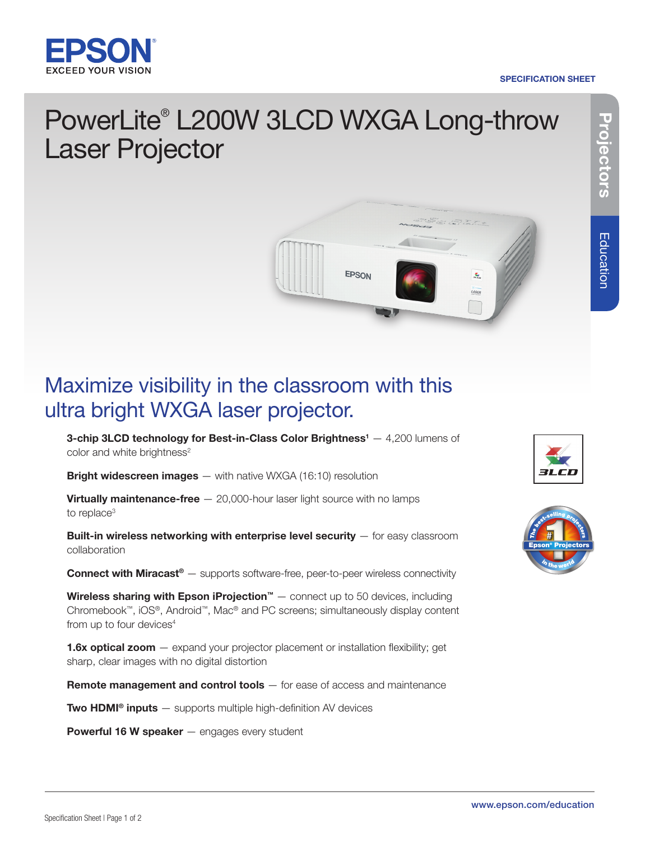

#### SPECIFICATION SHEET

# Projectors **Projectors**

## PowerLite® L200W 3LCD WXGA Long-throw Laser Projector



### Maximize visibility in the classroom with this ultra bright WXGA laser projector.

**3-chip 3LCD technology for Best-in-Class Color Brightness**<sup>1</sup>  $-$  4,200 lumens of color and white brightness<sup>2</sup>

**Bright widescreen images** — with native WXGA (16:10) resolution

**Virtually maintenance-free**  $-$  20,000-hour laser light source with no lamps to replace<sup>3</sup>

Built-in wireless networking with enterprise level security - for easy classroom collaboration

**Connect with Miracast®** — supports software-free, peer-to-peer wireless connectivity

**Wireless sharing with Epson iProjection**<sup>™</sup>  $-$  connect up to 50 devices, including Chromebook™, iOS®, Android™, Mac® and PC screens; simultaneously display content from up to four devices<sup>4</sup>

**1.6x optical zoom**  $-$  expand your projector placement or installation flexibility; get sharp, clear images with no digital distortion

Remote management and control tools – for ease of access and maintenance

**Two HDMI<sup>®</sup> inputs**  $-$  supports multiple high-definition AV devices

Powerful 16 W speaker - engages every student